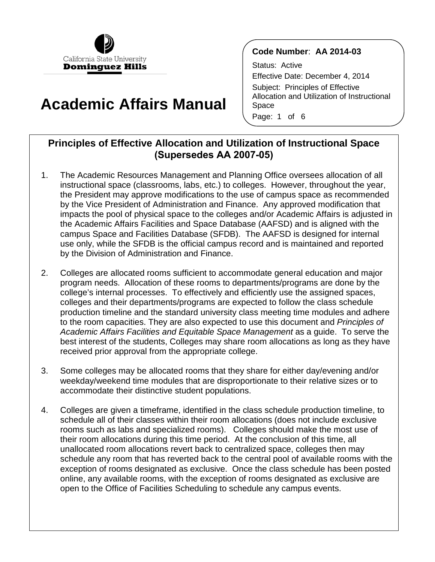

# **Academic Affairs Manual**

#### **Code Number**: **AA 2014-03**

Status: Active Effective Date: December 4, 2014 Subject: Principles of Effective Allocation and Utilization of Instructional Space Page: 1 of 6

## **Principles of Effective Allocation and Utilization of Instructional Space (Supersedes AA 2007-05)**

- campus Space and Facilities Database (SFDB). The AAFSD is designed for internal 1. The Academic Resources Management and Planning Office oversees allocation of all instructional space (classrooms, labs, etc.) to colleges. However, throughout the year, the President may approve modifications to the use of campus space as recommended by the Vice President of Administration and Finance. Any approved modification that impacts the pool of physical space to the colleges and/or Academic Affairs is adjusted in the Academic Affairs Facilities and Space Database (AAFSD) and is aligned with the use only, while the SFDB is the official campus record and is maintained and reported by the Division of Administration and Finance.
- college's internal processes. To effectively and efficiently use the assigned spaces, *Academic Affairs Facilities and Equitable Space Management* as a guide. To serve the best interest of the students, Colleges may share room allocations as long as they have 2. Colleges are allocated rooms sufficient to accommodate general education and major program needs. Allocation of these rooms to departments/programs are done by the colleges and their departments/programs are expected to follow the class schedule production timeline and the standard university class meeting time modules and adhere to the room capacities. They are also expected to use this document and *Principles of* received prior approval from the appropriate college.
- 3. Some colleges may be allocated rooms that they share for either day/evening and/or weekday/weekend time modules that are disproportionate to their relative sizes or to accommodate their distinctive student populations.
- rooms such as labs and specialized rooms). Colleges should make the most use of unallocated room allocations revert back to centralized space, colleges then may exception of rooms designated as exclusive. Once the class schedule has been posted 4. Colleges are given a timeframe, identified in the class schedule production timeline, to schedule all of their classes within their room allocations (does not include exclusive their room allocations during this time period. At the conclusion of this time, all schedule any room that has reverted back to the central pool of available rooms with the online, any available rooms, with the exception of rooms designated as exclusive are open to the Office of Facilities Scheduling to schedule any campus events.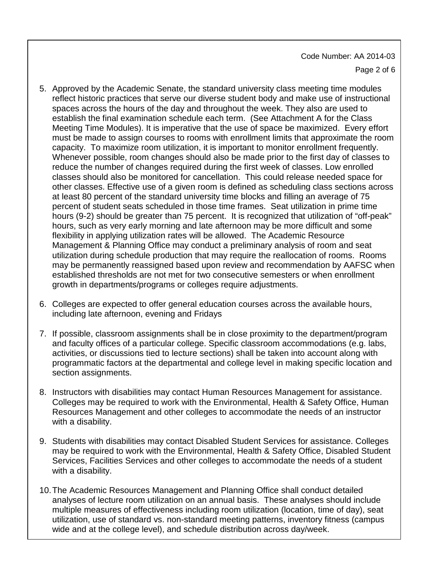- establish the final examination schedule each term. (See Attachment A for the Class capacity. To maximize room utilization, it is important to monitor enrollment frequently. reduce the number of changes required during the first week of classes. Low enrolled classes should also be monitored for cancellation. This could release needed space for other classes. Effective use of a given room is defined as scheduling class sections across percent of student seats scheduled in those time frames. Seat utilization in prime time Management & Planning Office may conduct a preliminary analysis of room and seat utilization during schedule production that may require the reallocation of rooms. Rooms established thresholds are not met for two consecutive semesters or when enrollment 5. Approved by the Academic Senate, the standard university class meeting time modules reflect historic practices that serve our diverse student body and make use of instructional spaces across the hours of the day and throughout the week. They also are used to Meeting Time Modules). It is imperative that the use of space be maximized. Every effort must be made to assign courses to rooms with enrollment limits that approximate the room Whenever possible, room changes should also be made prior to the first day of classes to at least 80 percent of the standard university time blocks and filling an average of 75 hours (9-2) should be greater than 75 percent. It is recognized that utilization of "off-peak" hours, such as very early morning and late afternoon may be more difficult and some flexibility in applying utilization rates will be allowed. The Academic Resource may be permanently reassigned based upon review and recommendation by AAFSC when growth in departments/programs or colleges require adjustments.
- 6. Colleges are expected to offer general education courses across the available hours, including late afternoon, evening and Fridays
- 7. If possible, classroom assignments shall be in close proximity to the department/program and faculty offices of a particular college. Specific classroom accommodations (e.g. labs, activities, or discussions tied to lecture sections) shall be taken into account along with programmatic factors at the departmental and college level in making specific location and section assignments.
- 8. Instructors with disabilities may contact Human Resources Management for assistance. Colleges may be required to work with the Environmental, Health & Safety Office, Human Resources Management and other colleges to accommodate the needs of an instructor with a disability.
- 9. Students with disabilities may contact Disabled Student Services for assistance. Colleges may be required to work with the Environmental, Health & Safety Office, Disabled Student Services, Facilities Services and other colleges to accommodate the needs of a student with a disability.
- analyses of lecture room utilization on an annual basis. These analyses should include 10.The Academic Resources Management and Planning Office shall conduct detailed multiple measures of effectiveness including room utilization (location, time of day), seat utilization, use of standard vs. non-standard meeting patterns, inventory fitness (campus wide and at the college level), and schedule distribution across day/week.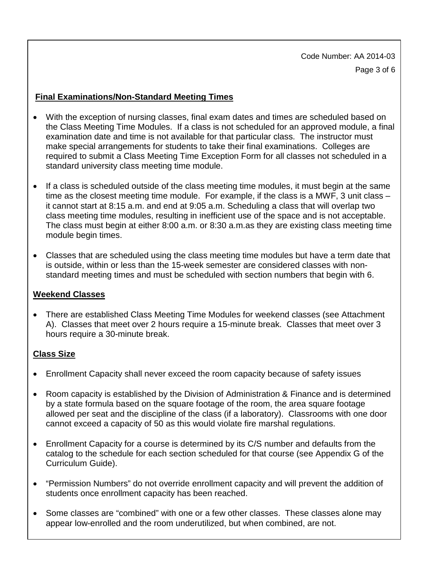Code Number: AA 2014-03 Page 3 of 6

#### **Final Examinations/Non-Standard Meeting Times**

- With the exception of nursing classes, final exam dates and times are scheduled based on the Class Meeting Time Modules. If a class is not scheduled for an approved module, a final examination date and time is not available for that particular class. The instructor must make special arrangements for students to take their final examinations. Colleges are required to submit a Class Meeting Time Exception Form for all classes not scheduled in a standard university class meeting time module.
- If a class is scheduled outside of the class meeting time modules, it must begin at the same class meeting time modules, resulting in inefficient use of the space and is not acceptable. time as the closest meeting time module. For example, if the class is a MWF, 3 unit class – it cannot start at 8:15 a.m. and end at 9:05 a.m. Scheduling a class that will overlap two The class must begin at either 8:00 a.m. or 8:30 a.m. as they are existing class meeting time module begin times.
- Classes that are scheduled using the class meeting time modules but have a term date that is outside, within or less than the 15-week semester are considered classes with nonstandard meeting times and must be scheduled with section numbers that begin with 6.

#### **Weekend Classes**

 A). Classes that meet over 2 hours require a 15-minute break. Classes that meet over 3 • There are established Class Meeting Time Modules for weekend classes (see Attachment hours require a 30-minute break.

#### **Class Size**

- Enrollment Capacity shall never exceed the room capacity because of safety issues
- Room capacity is established by the Division of Administration & Finance and is determined by a state formula based on the square footage of the room, the area square footage allowed per seat and the discipline of the class (if a laboratory). Classrooms with one door cannot exceed a capacity of 50 as this would violate fire marshal regulations.
- Enrollment Capacity for a course is determined by its C/S number and defaults from the catalog to the schedule for each section scheduled for that course (see Appendix G of the Curriculum Guide).
- "Permission Numbers" do not override enrollment capacity and will prevent the addition of students once enrollment capacity has been reached.
- Some classes are "combined" with one or a few other classes. These classes alone may appear low-enrolled and the room underutilized, but when combined, are not.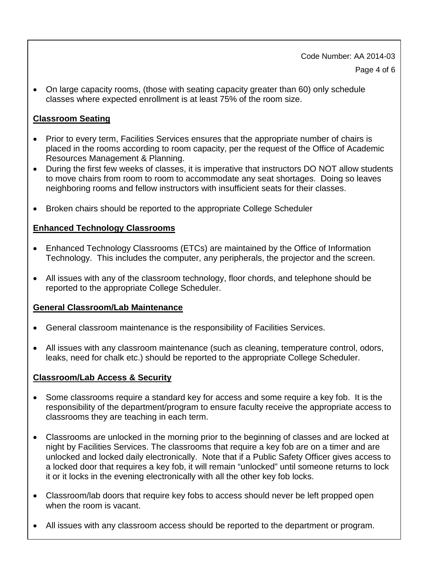Code Number: AA 2014-03 Page 4 of 6

• On large capacity rooms, (those with seating capacity greater than 60) only schedule classes where expected enrollment is at least 75% of the room size.

#### **Classroom Seating**

- Prior to every term, Facilities Services ensures that the appropriate number of chairs is placed in the rooms according to room capacity, per the request of the Office of Academic Resources Management & Planning.
- During the first few weeks of classes, it is imperative that instructors DO NOT allow students to move chairs from room to room to accommodate any seat shortages. Doing so leaves neighboring rooms and fellow instructors with insufficient seats for their classes.
- Broken chairs should be reported to the appropriate College Scheduler

#### **Enhanced Technology Classrooms**

- Enhanced Technology Classrooms (ETCs) are maintained by the Office of Information Technology. This includes the computer, any peripherals, the projector and the screen.
- All issues with any of the classroom technology, floor chords, and telephone should be reported to the appropriate College Scheduler.

#### **General Classroom/Lab Maintenance**

- General classroom maintenance is the responsibility of Facilities Services.
- All issues with any classroom maintenance (such as cleaning, temperature control, odors, leaks, need for chalk etc.) should be reported to the appropriate College Scheduler.

#### **Classroom/Lab Access & Security**

- Some classrooms require a standard key for access and some require a key fob. It is the responsibility of the department/program to ensure faculty receive the appropriate access to classrooms they are teaching in each term.
- Classrooms are unlocked in the morning prior to the beginning of classes and are locked at night by Facilities Services. The classrooms that require a key fob are on a timer and are unlocked and locked daily electronically. Note that if a Public Safety Officer gives access to a locked door that requires a key fob, it will remain "unlocked" until someone returns to lock it or it locks in the evening electronically with all the other key fob locks.
- Classroom/lab doors that require key fobs to access should never be left propped open when the room is vacant.
- All issues with any classroom access should be reported to the department or program.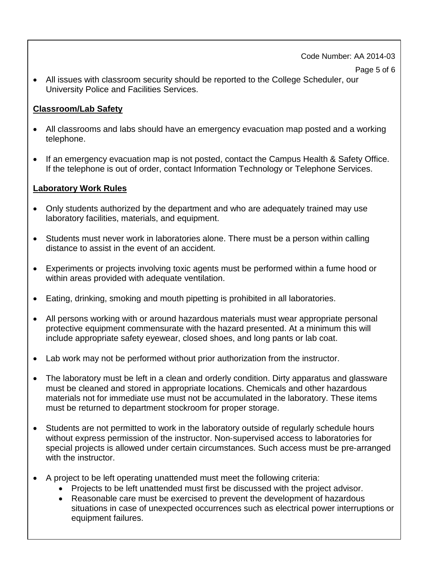#### Code Number: AA 2014-03

• All issues with classroom security should be reported to the College Scheduler, our University Police and Facilities Services.

## **Classroom/Lab Safety**

- All classrooms and labs should have an emergency evacuation map posted and a working telephone.
- • If an emergency evacuation map is not posted, contact the Campus Health & Safety Office. If the telephone is out of order, contact Information Technology or Telephone Services.

## **Laboratory Work Rules**

- Only students authorized by the department and who are adequately trained may use laboratory facilities, materials, and equipment.
- Students must never work in laboratories alone. There must be a person within calling distance to assist in the event of an accident.
- Experiments or projects involving toxic agents must be performed within a fume hood or within areas provided with adequate ventilation.
- Eating, drinking, smoking and mouth pipetting is prohibited in all laboratories.
- include appropriate safety eyewear, closed shoes, and long pants or lab coat. • All persons working with or around hazardous materials must wear appropriate personal protective equipment commensurate with the hazard presented. At a minimum this will
- Lab work may not be performed without prior authorization from the instructor.
- must be cleaned and stored in appropriate locations. Chemicals and other hazardous • The laboratory must be left in a clean and orderly condition. Dirty apparatus and glassware materials not for immediate use must not be accumulated in the laboratory. These items must be returned to department stockroom for proper storage.
- Students are not permitted to work in the laboratory outside of regularly schedule hours without express permission of the instructor. Non‐supervised access to laboratories for special projects is allowed under certain circumstances. Such access must be pre‐arranged with the instructor.
- A project to be left operating unattended must meet the following criteria:
	- Projects to be left unattended must first be discussed with the project advisor.
	- Reasonable care must be exercised to prevent the development of hazardous situations in case of unexpected occurrences such as electrical power interruptions or equipment failures.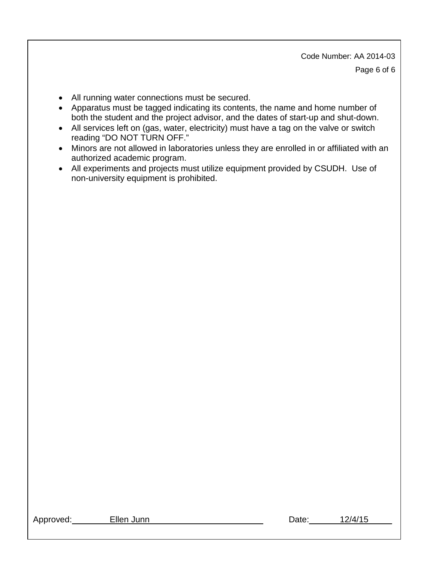Code Number: AA 2014-03 Page 6 of 6

- All running water connections must be secured.
- Apparatus must be tagged indicating its contents, the name and home number of both the student and the project advisor, and the dates of start-up and shut-down.
- All services left on (gas, water, electricity) must have a tag on the valve or switch reading "DO NOT TURN OFF."
- Minors are not allowed in laboratories unless they are enrolled in or affiliated with an authorized academic program.
- All experiments and projects must utilize equipment provided by CSUDH. Use of non-university equipment is prohibited.

| Approved: |  |  |  |  |
|-----------|--|--|--|--|
|           |  |  |  |  |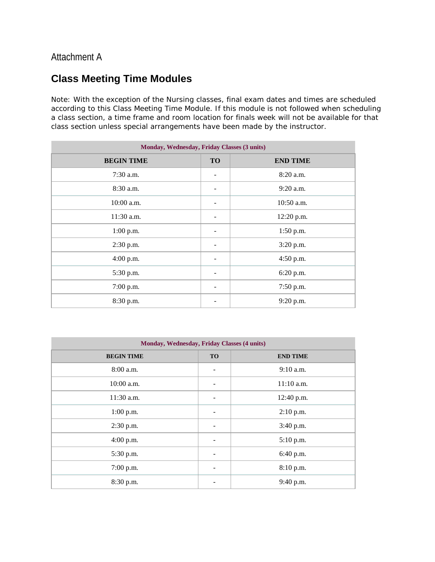## Attachment A

# **Class Meeting Time Modules**

Note: With the exception of the Nursing classes, final exam dates and times are scheduled according to this Class Meeting Time Module. If this module is not followed when scheduling a class section, a time frame and room location for finals week will not be available for that class section unless special arrangements have been made by the instructor.

| Monday, Wednesday, Friday Classes (3 units) |                          |                 |  |  |
|---------------------------------------------|--------------------------|-----------------|--|--|
| <b>BEGIN TIME</b>                           | <b>TO</b>                | <b>END TIME</b> |  |  |
| $7:30$ a.m.                                 |                          | 8:20 a.m.       |  |  |
| 8:30 a.m.                                   |                          | $9:20$ a.m.     |  |  |
| $10:00$ a.m.                                |                          | $10:50$ a.m.    |  |  |
| $11:30$ a.m.                                | -                        | 12:20 p.m.      |  |  |
| $1:00$ p.m.                                 | $\overline{\phantom{a}}$ | $1:50$ p.m.     |  |  |
| 2:30 p.m.                                   | -                        | 3:20 p.m.       |  |  |
| $4:00$ p.m.                                 | $\overline{\phantom{a}}$ | 4:50 p.m.       |  |  |
| 5:30 p.m.                                   | $\overline{\phantom{a}}$ | 6:20 p.m.       |  |  |
| 7:00 p.m.                                   | $\overline{\phantom{a}}$ | 7:50 p.m.       |  |  |
| 8:30 p.m.                                   |                          | 9:20 p.m.       |  |  |

| Monday, Wednesday, Friday Classes (4 units) |           |                 |  |  |
|---------------------------------------------|-----------|-----------------|--|--|
| <b>BEGIN TIME</b>                           | <b>TO</b> | <b>END TIME</b> |  |  |
| 8:00 a.m.                                   |           | $9:10$ a.m.     |  |  |
| 10:00 a.m.                                  |           | $11:10$ a.m.    |  |  |
| 11:30 a.m.                                  |           | 12:40 p.m.      |  |  |
| $1:00$ p.m.                                 |           | $2:10$ p.m.     |  |  |
| 2:30 p.m.                                   |           | 3:40 p.m.       |  |  |
| $4:00$ p.m.                                 |           | 5:10 p.m.       |  |  |
| 5:30 p.m.                                   |           | 6:40 p.m.       |  |  |
| 7:00 p.m.                                   |           | 8:10 p.m.       |  |  |
| 8:30 p.m.                                   |           | 9:40 p.m.       |  |  |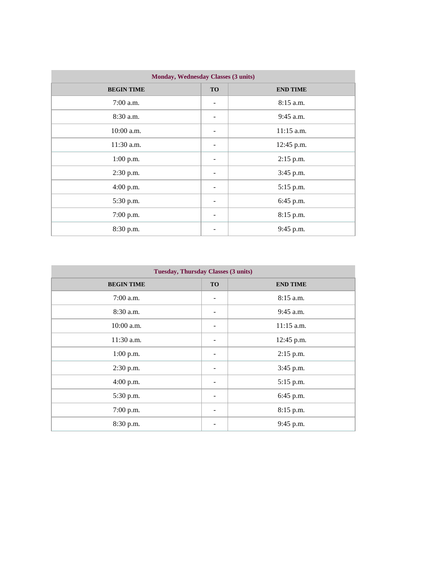| Monday, Wednesday Classes (3 units) |           |                 |  |  |
|-------------------------------------|-----------|-----------------|--|--|
| <b>BEGIN TIME</b>                   | <b>TO</b> | <b>END TIME</b> |  |  |
| $7:00$ a.m.                         |           | $8:15$ a.m.     |  |  |
| 8:30 a.m.                           |           | $9:45$ a.m.     |  |  |
| $10:00$ a.m.                        |           | $11:15$ a.m.    |  |  |
| 11:30 a.m.                          |           | 12:45 p.m.      |  |  |
| $1:00$ p.m.                         |           | 2:15 p.m.       |  |  |
| 2:30 p.m.                           |           | 3:45 p.m.       |  |  |
| 4:00 p.m.                           |           | 5:15 p.m.       |  |  |
| 5:30 p.m.                           |           | 6:45 p.m.       |  |  |
| 7:00 p.m.                           |           | 8:15 p.m.       |  |  |
| 8:30 p.m.                           |           | 9:45 p.m.       |  |  |

| <b>Tuesday, Thursday Classes (3 units)</b> |           |                 |  |  |
|--------------------------------------------|-----------|-----------------|--|--|
| <b>BEGIN TIME</b>                          | <b>TO</b> | <b>END TIME</b> |  |  |
| $7:00$ a.m.                                |           | $8:15$ a.m.     |  |  |
| 8:30 a.m.                                  |           | $9:45$ a.m.     |  |  |
| $10:00$ a.m.                               |           | 11:15 a.m.      |  |  |
| $11:30$ a.m.                               |           | 12:45 p.m.      |  |  |
| 1:00 p.m.                                  |           | 2:15 p.m.       |  |  |
| 2:30 p.m.                                  |           | 3:45 p.m.       |  |  |
| $4:00$ p.m.                                |           | 5:15 p.m.       |  |  |
| 5:30 p.m.                                  |           | 6:45 p.m.       |  |  |
| 7:00 p.m.                                  |           | 8:15 p.m.       |  |  |
| 8:30 p.m.                                  |           | 9:45 p.m.       |  |  |